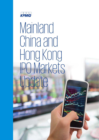

Mainland China and Hong Kong IPO Markets Update

pmg.com/cr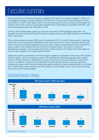### Executive summary

Due to economic and political uncertainty, the global IPO market was relatively sluggish in 2016, and most global exchanges recorded a decline in IPO activities. Though Hong Kong is expecting a fall of around 26% in its IPO funds raised in 2016, the city's exchange maintains its status as the largest IPO market in the world in terms of funds raised. KPMG China is forecasting an estimated 120 IPOs, with funds raised approaching HKD 195 billion in 2016.

In China, IPO activities began picking up since the resumption of IPO application approvals. The Shanghai Stock Exchange and Shenzhen Stock Exchange will likely raise RMB 105 billion and RMB 50 billion respectively.

China's gross domestic product (GDP) growth remained at 6.7% in the first three quarters, indicating that China's economy has been stabilising in 2016. With its key role in China's economic policies and reform measures, including supply-side structural reform, state-owned enterprise reform and debt-toequity swaps, China's capital markets will likely be strongly linked to the country's economic development progress. It is anticipated that China's capital markets will maintain their advantage and be set to play a greater role in global capital markets.

Despite the market uncertainties and more stringent regulatory atmosphere, Hong Kong's IPO pipeline remains healthy, with an increasing number of IPO applications. With deleveraging across multiple sectors in China's economy, the demand for equity financing from China enterprises is expected to continue. In addition, the launch of the Shenzhen-Hong Kong Stock Connect and other upcoming initiatives to connect both China and Hong Kong capital markets will boost market liquidity in the longer term. KPMG China expects Hong Kong's IPO market to remain steady in 2017 and to continue being one of the top IPO venues globally.



### Global exchanges ranking

**IPO funds raised in 2015**

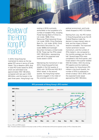

### Review of the Hong Kong IPO market

In 2016, Hong Kong has maintained its status as the top global IPO venue in terms of funds raised. This is despite a 26% drop in total IPO funds raised for 2016, which are estimated to be approximately HKD 195 billion, compared with last year's HKD 263 billion, and the lowest in the past three years. Hong Kong's top

ranking in 2016 is primarily attributable to the completion of a number of sizeable IPOs, including Postal Savings Bank of China Co., Ltd. (code: 1658), China Resources Pharmaceutical Group Ltd. (code: 3320), China Zheshang Bank Co., Ltd. (code: 2016), China Merchants Securities Co., Ltd. (code: 6099) and Everbright Securities Company Limited (code: 6178). These top five IPOs raised HKD 108.9 billion, representing over half of the expected total funds raised in 2016.

Maintaining the momentum in late 2015, Hong Kong performed steadily in the first quarter of 2016, with 19 IPOs and HKD 30.3 billion raised. In the second quarter, the Hong Kong market became sluggish in the midst of the uncertain economic and

political environment, and funds raised dropped to HKD 13.3 billion.

Starting from July, the IPO market in Hong Kong perked up as the US Federal Reserve made the decision to keep interest rates on hold, and the impact of Brexit became noticeable. The improved market sentiment revived momentum, and the number of IPOs tripled in July compared to the monthly average over the first half. Several large IPOs were completed in the third quarter, and funds raised in this quarter totalled HKD 92.4 billion. With the strong IPO pipeline and the traditional high season for Hong Kong's IPO market in the fourth quarter, the number of IPOs is expected to remain at about 120 in 2016, with the expected funds raised approaching HKD 195 billion.



Source: HKEx and KPMG analysis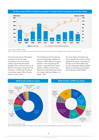

#### **10-Year trend of IPO activities by number of newly listed companies and funds raised**

Source: HKEx and KPMG analysis

Note: The above analysis is based on the actual number of IPOs on 30 November 2016 and the expected number of IPOs in December 2016.

The financial services (FS) sector continues to be the major contributor in terms of funds raised in 2016 and dominates sizeable IPOs, with 9 of the top 10 IPOs for the year coming from the FS sector. In 2016, the FS sector contributed nearly 70% of funds raised, up from 54%.

The Healthcare & Life Sciences and the Technology, Media and Telecom (TMT) sectors occupy a position in the Hong Kong IPO market. Large IPOs from these sectors in 2016 include China Resources Pharmaceutical Group Ltd. (code: 3320) and Meitu, Inc. (code: 1357).

The chart below illustrates the funds raised and number of IPOs, analysed by sector, according to listings on the Main Board and Growth Enterprise Market (GEM) Board of Hong Kong Exchanges and Clearing Limited (HKEx).



Source: HKEx and KPMG analysis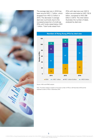

The average deal size in 2016 has been around HKD 1.7 billion, which dropped from HKD 2.2 billion in 2015. The decrease in average deal size is primarily due to the increased proportion of small-cap IPOs with funds raised below HKD 1 billion. Total funds raised from

IPOs with deal size over HKD 5 billion are estimated at HKD 152.6 billion, compared to HKD 206 billion in 2015. The chart below illustrates the number of deals, analysed by deal size:



**Number of Hong Kong IPOs by deal size**

Source: HKEx and KPMG analysis

Note: The above analysis is based on the actual number of IPOs on 30 November 2016 and the expected number of IPOs in December 2016.

5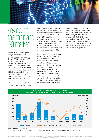

### Review of the mainland IPO market

Further to the reopening of new listings in late 2015, IPO application approvals resumed in January 2016 and A-share IPO activities began to pick up from the beginning of the year. The number of IPOs and total funds raised for 2016 are expected to reach approximately 230 and RMB 155 billion respectively, at a comparable level with 2015, though there was a four-month IPO suspension last year.

With concerns about volatility in the equity markets, there were

only 70 approved applications in the first half of 2016. A total of 61 companies completed their listings and raised funds of RMB 28.4 billion, 80% less than the corresponding period last year. Both the Shanghai Stock Exchange (SSE) and Shenzhen Stock Exchange (SZSE) recorded a decline in both the number of IPOs and funds raised in the first half.

In the third quarter of 2016, with more IPO application approvals and the return of regional commercial bank IPOs, the Ashare IPO market showed a strong momentum with 65 new listings and funds raised of RMB 48.5 billion, which exceeded the performance in the first half of 2016. The momentum continued to the fourth quarter, where there were already 56 new listings in October and November, with total funds raised of RMB 46.3 billion.

By the end of November, 229 entities had received approval for an IPO, while 48 entities were still on their way to completing their listings, with RMB 31.6 billion expected to be raised. For 2016, the IPO proceeds raised by the SSE and SZSE are expected to be approximately RMB 105 billion and RMB 50 billion respectively.



### **SSE & SZSE: 10-Year trend of IPO activities**

Source: Wind Info and KPMG analysis

Note: The above analysis is based on the actual number of IPOs on 30 November 2016 and the expected number of IPOs in December 2016.

6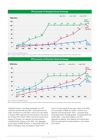#### **IPO proceeds of Shanghai Stock Exchange**



Source: Wind Info and KPMG analysis

Note: The above analysis is based on the actual number of IPOs on 30 November 2016 and the expected number of IPOs in December 2016.



**IPO proceeds of Shenzhen Stock Exchange**

Source: Wind Info and KPMG analysis

Note: The above analysis is based on the actual number of IPOs on 30 November 2016 and the expected number of IPOs in December 2016.

Traditional sectors, including companies from FS, industrial markets (IM) and TMT, continued to be the major contributors to the SSE in terms of funds raised. In August 2016, regional commercial banks returned to the A-share IPO market. Within the three months from August to October, six regional commercial banks completed their listings on the SSE, with aggregate funds raised of RMB 18 billion. In November 2016, the Bank of Shanghai, likely the largest A-share IPO in

terms of funds raised for the year, listed on the SSE with proceeds of RMB 10.7 billion. Another nine regional commercial banks' IPOs – including Hong Kong listed banks Shengjing Bank, Huishang Bank and Harbin Bank – have been added to the IPO applications pipeline, and regional commercial bank IPOs are expected to remain positive in the A-share IPO market.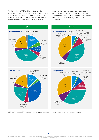For the SZSE, the TMT and IM sectors remained significant. Similar to 2015, funds raised from the TMT sector accounted for about one-third of total funds raised on the SZSE. Though the contribution from the IM sector declined from 40% to 35%, it is worth

noting that high-end manufacturing industries are becoming more prevalent in the IM sector. As one of China's development focuses, high-end manufacturing industries are expected to play a greater role in the IPO market.



Source: Wind Info and KPMG analysis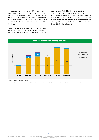Average deal size in the A-share IPO market was slightly down by 6 percent in 2016. Excluding those IPOs with deal size over RMB 10 billion, the average deal size on the SSE recorded an increment of RMB 0.9 billion from RMB 0.6 billion in 2015. Average deal size on the SZSE remained at a similar level at RMB 0.4 billion.

Despite the return of regional commercial bank IPOs, there were fewer sizeable IPOs in the A-share IPO market in 2016. In 2015, there were three IPOs with

deal size over RMB 10 billion, compared to only one in 2016. Continuing with the trend in 2015, smaller deals with proceeds below RMB 1 billion still dominated the A-share IPO market, and the proportion of funds raised from such smaller deals to the total funds raised from January to November 2016 reached 54%, an increase from 48% for the full year 2015.



Source: Wind Info and KPMG analysis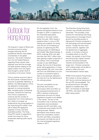

# Outlook for Hong Kong

The long-term impact of Brexit and imminent economic policy changes following the US presidential election have added uncertainties to the global economy. The recent indication from the US Federal Reserve regarding lifting interest rates relatively soon and the stronger US dollar position leading to the capital outflow from the region have brought a certain level of uncertainty to the stock market.

China's positive economic data in the third quarter indicated that its economy is gradually stabilising. In addition, the deleveraging in China has adopted a multipronged approach to cutting enterprise debt, including equity fundraising activities. Demand for financing from China is expected to continue and the number of enterprises from China seeking to list is likely to increase, as evidenced by the strong pipeline in the Hong Kong IPO market. Over half of these IPO applicants originate in China, and have diversified profiles. The Hong Kong IPO market is expected to remain the choice for China enterprises seeking public equity funding.

On the regulatory front, the general atmosphere became more stringent in 2016. In response to the intensified speculative activities in the stock market earlier this year, HKEx issued a guidance letter in June on IPO vetting and suitability for listing, with the aim of formalising its policies on tightening the IPO vetting process for GEM Board and smaller Main Board listings. In 2016, small-cap IPOs with deal size less than HKD 1 billion have been gaining a higher proportion in the market, with a record-high number of new GEM Board listings. By the end of November, active listing applications in Hong Kong reached 146, with more than half from the GEM Board, but the number of successful cases is likely to be adversely affected in the near term by the tightening of the vetting process.

The joint consultation by the Securities and Futures Commission (SFC) and HKEx on the proposed enhancements of HKEx's decision-making and governance structure for listing regulations aroused much debate in the market. The aim of the consultation was to achieve closer cooperation and coordination between the SFC and HKEx, and to streamline and simplify the IPO vetting process. Market participants have diverse views about the consultation content. The SFC and HKEx consultation conclusions will likely be one of the most anticipated regulatory matters in 2017.

The Shenzhen-Hong Kong Stock Connect was officially launched in December. This provides a new channel for international and Hong Kong investors to leverage China's growth by providing access to high-growth Chinese companies in the technology and internet-based sectors. Though the new stock connect scheme, together with the abolishment of aggregate quotas, is not likely to have an immediate effect on the IPO market, the liquidity in both China and Hong Kong's capital markets and the connection between markets will be boosted in the longer term. Chinese companies with funding needs will be able to access a wider and more internationalised investor base.

KPMG China expects Hong Kong's IPO market to remain steady in 2017 and to continue being one of the top IPO venues globally. The actual performance will largely depend on sizeable deals. For 2017, we forecast an estimated 120 IPOs, with about HKD 200 billion being raised.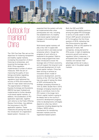

### Outlook for mainland **China**

The 13th Five-Year Plan set out the objectives for fostering transparent and healthy capital markets, increasing the proportion of direct financing to enterprises, and lowering the leverage ratio. In 2016, China regulators implemented a number of reform measures. With the aim of improving the quality of new listings and better regulating backdoor listing activities, regulators have tightened the scrutiny of IPOs and revised the rules for major asset restructuring. The segmentation of National Equities Exchange and Quotations (NEEQ) has been finalised and implemented to further develop multi-tiered capital markets. In addition, the acceleration of IPO application approvals, together with reforms to the Public Offering Review Committee, may address the long queue in the IPO application pipeline. These measures are paving the way for the introduction of a registrationbased system. However, it is

expected that the system will only be implemented after other prerequisites are met, including the establishment of a healthy multi-tiered capital market and changes to the existing legal framework.

Multi-tiered capital markets will play a key role in supply-side structural reform and state-owned enterprise reform, though the progress of such reforms is expected to be gradual. Debt-toequity swap programmes have been introduced to lower the leverage ratio of China's economy, and will support the long-term and continued development of multitiered capital markets. China has been striving to achieve an innovation-driven model of economic development, and the Outline of the 13th Five-Year Plan has a key goal of raising the share of GDP contributed by the strategic emerging industries to 15% by 2020, double that in 2015. Strategic emerging industries are likely to contribute more to the IPO market in the longer term. China's capital market is going to be deeply tied to the country's economic development progress, while its developments will largely depend on other key reform measures including deepening the ChiNext, NEEQ reform, mechanisms for transferring between markets and the registration-based system.

Both the SSE and SZSE maintained their leading positions among the global IPO exchanges in terms of funds raised in 2016. China's GDP growth remained at 6.7% throughout the first three quarters of 2016, indicating that the China economy has been stabilising. With an IPO pipeline for approvals of nearly 700 companies, strong demand for IPOs exists. In light of stabilising economic growth and various regulatory reform measures, it is anticipated that China's capital markets will maintain their advantage and be set to play a greater role in the global capital markets.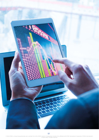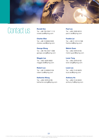

# Contact us

#### **Ronald Sze**

Tel.: +86 755 2547 1113 ronald.sze@kpmg.com

**Charles Wan** Tel.: +86 10 8508 5303 charles.wan@kpmg.com

**George Wong** Tel.: +86 755 2547 1088 george.wong@kpmg.com

**Maggie Lee** Tel.: +852 2826 8063 maggie.lee@kpmg.com

**Robert Luo** Tel.: +86 10 8508 5104 robert.luo@kpmg.com

**Katharine Wong** Tel.: +852 2978 8195 katharine.wong@kpmg.com **Paul Lau** Tel.: +852 2826 8010 paul.k.lau@kpmg.com

**Frankie Lai** Tel.: +86 21 2212 2186 frankie.lai@kpmg.com

**Melvin Guen** Tel.: +852 2978 8105 melvin.guen@kpmg.com

**Loren Tang** Tel.: +852 2978 8150 loren.tang@kpmg.com

**Louis Lau** Tel.: +852 2143 8876 louis.lau@kpmg.com

**Anthony Ho** Tel.: +852 2143 8533 anthony.ho@kpmg.com